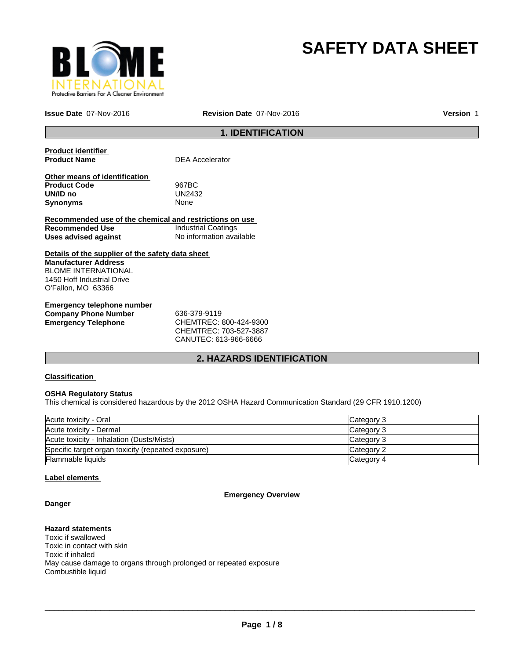

# **SAFETY DATA SHEET**

**Issue Date** 07-Nov-2016

**Revision Date** 07-Nov-2016

**Version** 1

## **1. IDENTIFICATION**

**Product identifier** 

**DEA Accelerator** 

**Other means of identification Product Code** 967BC **UN/ID no** UN24<br>**Synonyms** None **Synonyms** 

**Recommended use of the chemical and restrictions on use Recommended Use** Industrial Coatings **Uses advised against** No information available

**Details of the supplier of the safety data sheet Manufacturer Address** BLOME INTERNATIONAL 1450 Hoff Industrial Drive O'Fallon, MO 63366

**Emergency telephone number Company Phone Number** 636-379-9119 **Emergency Telephone** CHEMTREC: 800-424-9300

CHEMTREC: 703-527-3887 CANUTEC: 613-966-6666

## **2. HAZARDS IDENTIFICATION**

## **Classification**

## **OSHA Regulatory Status**

This chemical is considered hazardous by the 2012 OSHA Hazard Communication Standard (29 CFR 1910.1200)

| Acute toxicity - Oral                              | Category 3 |
|----------------------------------------------------|------------|
| Acute toxicity - Dermal                            | Category 3 |
| Acute toxicity - Inhalation (Dusts/Mists)          | Category 3 |
| Specific target organ toxicity (repeated exposure) | Category 2 |
| Flammable liquids                                  | Category 4 |

## **Label elements**

**Emergency Overview**

# **Danger**

## **Hazard statements**

Toxic if swallowed Toxic in contact with skin Toxic if inhaled May cause damage to organs through prolonged or repeated exposure Combustible liquid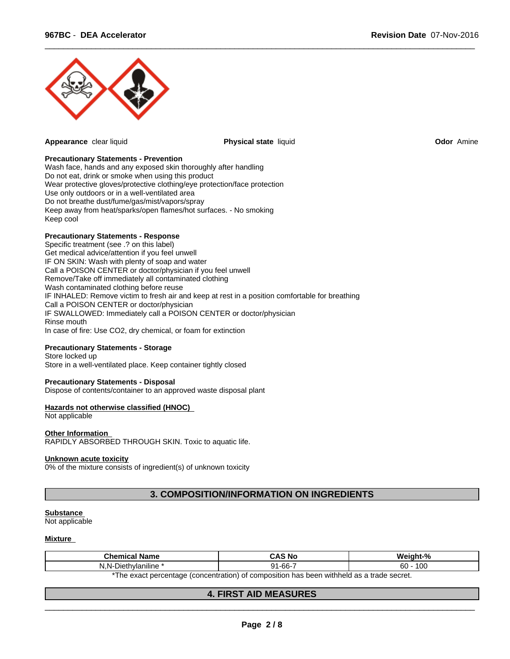

**Appearance** clear liquid **Physical state** liquid **Odor** Amine

 $\overline{\phantom{a}}$  ,  $\overline{\phantom{a}}$  ,  $\overline{\phantom{a}}$  ,  $\overline{\phantom{a}}$  ,  $\overline{\phantom{a}}$  ,  $\overline{\phantom{a}}$  ,  $\overline{\phantom{a}}$  ,  $\overline{\phantom{a}}$  ,  $\overline{\phantom{a}}$  ,  $\overline{\phantom{a}}$  ,  $\overline{\phantom{a}}$  ,  $\overline{\phantom{a}}$  ,  $\overline{\phantom{a}}$  ,  $\overline{\phantom{a}}$  ,  $\overline{\phantom{a}}$  ,  $\overline{\phantom{a}}$ 

## **Precautionary Statements - Prevention**

Wash face, hands and any exposed skin thoroughly after handling Do not eat, drink or smoke when using this product Wear protective gloves/protective clothing/eye protection/face protection Use only outdoors or in a well-ventilated area Do not breathe dust/fume/gas/mist/vapors/spray Keep away from heat/sparks/open flames/hot surfaces. - No smoking Keep cool

## **Precautionary Statements - Response**

Specific treatment (see .? on this label) Get medical advice/attention if you feel unwell IF ON SKIN: Wash with plenty of soap and water Call a POISON CENTER or doctor/physician if you feel unwell Remove/Take off immediately all contaminated clothing Wash contaminated clothing before reuse IF INHALED: Remove victim to fresh air and keep at rest in a position comfortable for breathing Call a POISON CENTER or doctor/physician IF SWALLOWED: Immediately call a POISON CENTER or doctor/physician Rinse mouth In case of fire: Use CO2, dry chemical, or foam for extinction

## **Precautionary Statements - Storage**

Store locked up Store in a well-ventilated place. Keep container tightly closed

## **Precautionary Statements - Disposal**

Dispose of contents/container to an approved waste disposal plant

## **Hazards not otherwise classified (HNOC)**

Not applicable

#### **Other Information**

RAPIDLY ABSORBED THROUGH SKIN. Toxic to aquatic life.

#### **Unknown acute toxicity**

0% of the mixture consists of ingredient(s) of unknown toxicity

## **3. COMPOSITION/INFORMATION ON INGREDIENTS**

#### **Substance**

Not applicable

#### **Mixture**

| ∵:hemica<br><b>Name</b>                                                                       | CAS No                | $\mathbf{a}$<br>Mainhi      |
|-----------------------------------------------------------------------------------------------|-----------------------|-----------------------------|
| <br>$\overline{\phantom{0}}$<br>Diethvlaniline<br>N.I                                         | -66<br>ົ^ 1<br>. - UU | 10 <sup>2</sup><br>60<br>υu |
| ) of composition has been withheld as a trade secret<br>*The exact percentage (concentration) |                       |                             |

The exact percentage (concentration) of composition has been withheld as a trade secret.

## **4. FIRST AID MEASURES**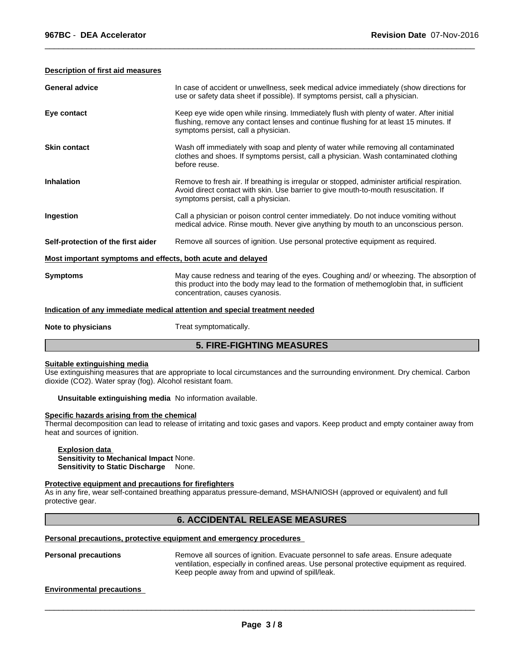#### **Description of first aid measures**

| <b>General advice</b>                                       | In case of accident or unwellness, seek medical advice immediately (show directions for<br>use or safety data sheet if possible). If symptoms persist, call a physician.                                                     |
|-------------------------------------------------------------|------------------------------------------------------------------------------------------------------------------------------------------------------------------------------------------------------------------------------|
| Eye contact                                                 | Keep eye wide open while rinsing. Immediately flush with plenty of water. After initial<br>flushing, remove any contact lenses and continue flushing for at least 15 minutes. If<br>symptoms persist, call a physician.      |
| <b>Skin contact</b>                                         | Wash off immediately with soap and plenty of water while removing all contaminated<br>clothes and shoes. If symptoms persist, call a physician. Wash contaminated clothing<br>before reuse.                                  |
| <b>Inhalation</b>                                           | Remove to fresh air. If breathing is irregular or stopped, administer artificial respiration.<br>Avoid direct contact with skin. Use barrier to give mouth-to-mouth resuscitation. If<br>symptoms persist, call a physician. |
| Ingestion                                                   | Call a physician or poison control center immediately. Do not induce vomiting without<br>medical advice. Rinse mouth. Never give anything by mouth to an unconscious person.                                                 |
| Self-protection of the first aider                          | Remove all sources of ignition. Use personal protective equipment as required.                                                                                                                                               |
| Most important symptoms and effects, both acute and delayed |                                                                                                                                                                                                                              |
| <b>Symptoms</b>                                             | May cause redness and tearing of the eyes. Coughing and/ or wheezing. The absorption of<br>this product into the body may lead to the formation of methemoglobin that, in sufficient<br>concentration, causes cyanosis.      |
|                                                             | Indication of any immediate medical attention and special treatment needed                                                                                                                                                   |
| Note to physicians                                          | Treat symptomatically.                                                                                                                                                                                                       |
|                                                             | <b>5. FIRE-FIGHTING MEASURES</b>                                                                                                                                                                                             |

 $\overline{\phantom{a}}$  ,  $\overline{\phantom{a}}$  ,  $\overline{\phantom{a}}$  ,  $\overline{\phantom{a}}$  ,  $\overline{\phantom{a}}$  ,  $\overline{\phantom{a}}$  ,  $\overline{\phantom{a}}$  ,  $\overline{\phantom{a}}$  ,  $\overline{\phantom{a}}$  ,  $\overline{\phantom{a}}$  ,  $\overline{\phantom{a}}$  ,  $\overline{\phantom{a}}$  ,  $\overline{\phantom{a}}$  ,  $\overline{\phantom{a}}$  ,  $\overline{\phantom{a}}$  ,  $\overline{\phantom{a}}$ 

#### **Suitable extinguishing media**

Use extinguishing measures that are appropriate to local circumstances and the surrounding environment. Dry chemical. Carbon dioxide (CO2). Water spray (fog). Alcohol resistant foam.

#### **Unsuitable extinguishing media** No information available.

## **Specific hazards arising from the chemical**

Thermal decomposition can lead to release of irritating and toxic gases and vapors. Keep product and empty container away from heat and sources of ignition.

## **Explosion data**

**Sensitivity to Mechanical Impact** None. **Sensitivity to Static Discharge** None.

## **Protective equipment and precautions for firefighters**

As in any fire, wear self-contained breathing apparatus pressure-demand, MSHA/NIOSH (approved or equivalent) and full protective gear.

## **6. ACCIDENTAL RELEASE MEASURES**

## **Personal precautions, protective equipment and emergency procedures**

**Personal precautions** Remove all sources of ignition. Evacuate personnel to safe areas. Ensure adequate ventilation, especially in confined areas. Use personal protective equipment as required. Keep people away from and upwind of spill/leak.

## **Environmental precautions**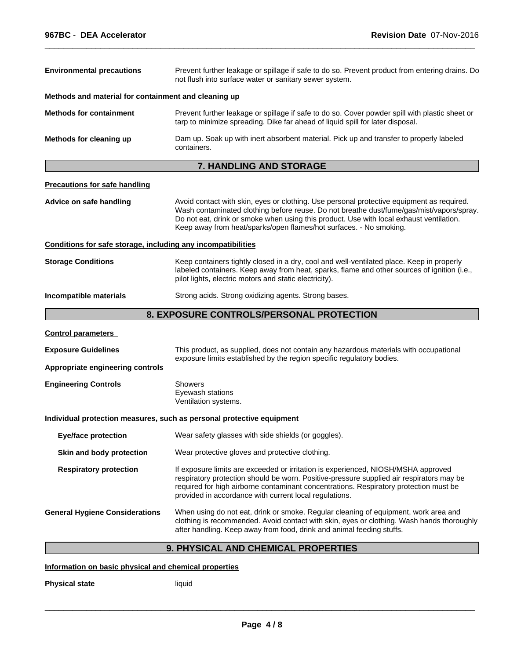| <b>Environmental precautions</b>                             | Prevent further leakage or spillage if safe to do so. Prevent product from entering drains. Do<br>not flush into surface water or sanitary sewer system.                                                                                                                                                                                               |  |  |
|--------------------------------------------------------------|--------------------------------------------------------------------------------------------------------------------------------------------------------------------------------------------------------------------------------------------------------------------------------------------------------------------------------------------------------|--|--|
| Methods and material for containment and cleaning up         |                                                                                                                                                                                                                                                                                                                                                        |  |  |
| <b>Methods for containment</b>                               | Prevent further leakage or spillage if safe to do so. Cover powder spill with plastic sheet or<br>tarp to minimize spreading. Dike far ahead of liquid spill for later disposal.                                                                                                                                                                       |  |  |
| Methods for cleaning up                                      | Dam up. Soak up with inert absorbent material. Pick up and transfer to properly labeled<br>containers.                                                                                                                                                                                                                                                 |  |  |
|                                                              | 7. HANDLING AND STORAGE                                                                                                                                                                                                                                                                                                                                |  |  |
| <b>Precautions for safe handling</b>                         |                                                                                                                                                                                                                                                                                                                                                        |  |  |
| Advice on safe handling                                      | Avoid contact with skin, eyes or clothing. Use personal protective equipment as required.<br>Wash contaminated clothing before reuse. Do not breathe dust/fume/gas/mist/vapors/spray.<br>Do not eat, drink or smoke when using this product. Use with local exhaust ventilation.<br>Keep away from heat/sparks/open flames/hot surfaces. - No smoking. |  |  |
| Conditions for safe storage, including any incompatibilities |                                                                                                                                                                                                                                                                                                                                                        |  |  |
| <b>Storage Conditions</b>                                    | Keep containers tightly closed in a dry, cool and well-ventilated place. Keep in properly<br>labeled containers. Keep away from heat, sparks, flame and other sources of ignition (i.e.,<br>pilot lights, electric motors and static electricity).                                                                                                     |  |  |
| Incompatible materials                                       | Strong acids. Strong oxidizing agents. Strong bases.                                                                                                                                                                                                                                                                                                   |  |  |
|                                                              | 8. EXPOSURE CONTROLS/PERSONAL PROTECTION                                                                                                                                                                                                                                                                                                               |  |  |
| <b>Control parameters</b>                                    |                                                                                                                                                                                                                                                                                                                                                        |  |  |
| <b>Exposure Guidelines</b>                                   | This product, as supplied, does not contain any hazardous materials with occupational<br>exposure limits established by the region specific regulatory bodies.                                                                                                                                                                                         |  |  |
| <b>Appropriate engineering controls</b>                      |                                                                                                                                                                                                                                                                                                                                                        |  |  |
| <b>Engineering Controls</b>                                  | Showers<br>Eyewash stations<br>Ventilation systems.                                                                                                                                                                                                                                                                                                    |  |  |
|                                                              | Individual protection measures, such as personal protective equipment                                                                                                                                                                                                                                                                                  |  |  |
| <b>Eye/face protection</b>                                   | Wear safety glasses with side shields (or goggles).                                                                                                                                                                                                                                                                                                    |  |  |
| Skin and body protection                                     | Wear protective gloves and protective clothing.                                                                                                                                                                                                                                                                                                        |  |  |
| <b>Respiratory protection</b>                                | If exposure limits are exceeded or irritation is experienced, NIOSH/MSHA approved<br>respiratory protection should be worn. Positive-pressure supplied air respirators may be<br>required for high airborne contaminant concentrations. Respiratory protection must be<br>provided in accordance with current local regulations.                       |  |  |
| <b>General Hygiene Considerations</b>                        | When using do not eat, drink or smoke. Regular cleaning of equipment, work area and<br>clothing is recommended. Avoid contact with skin, eyes or clothing. Wash hands thoroughly<br>after handling. Keep away from food, drink and animal feeding stuffs.                                                                                              |  |  |
|                                                              |                                                                                                                                                                                                                                                                                                                                                        |  |  |

 $\overline{\phantom{a}}$  ,  $\overline{\phantom{a}}$  ,  $\overline{\phantom{a}}$  ,  $\overline{\phantom{a}}$  ,  $\overline{\phantom{a}}$  ,  $\overline{\phantom{a}}$  ,  $\overline{\phantom{a}}$  ,  $\overline{\phantom{a}}$  ,  $\overline{\phantom{a}}$  ,  $\overline{\phantom{a}}$  ,  $\overline{\phantom{a}}$  ,  $\overline{\phantom{a}}$  ,  $\overline{\phantom{a}}$  ,  $\overline{\phantom{a}}$  ,  $\overline{\phantom{a}}$  ,  $\overline{\phantom{a}}$ 

## **9. PHYSICAL AND CHEMICAL PROPERTIES**

## **Information on basic physical and chemical properties**

**Physical state** liquid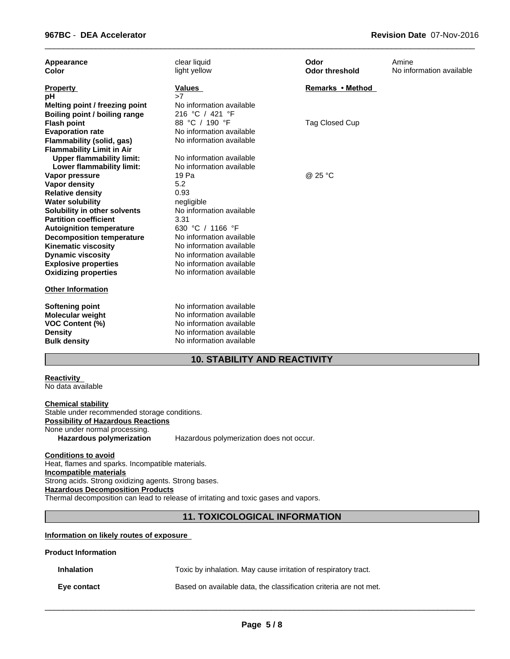| Appearance<br>Color                                                                                                  | clear liquid<br>light yellow                                                                                                             | Odor<br><b>Odor threshold</b> | Amine<br>No information available |
|----------------------------------------------------------------------------------------------------------------------|------------------------------------------------------------------------------------------------------------------------------------------|-------------------------------|-----------------------------------|
| <b>Property</b><br>рH<br>Melting point / freezing point                                                              | Values<br>>7<br>No information available                                                                                                 | Remarks • Method              |                                   |
| Boiling point / boiling range                                                                                        | 216 °C / 421 °F                                                                                                                          |                               |                                   |
| <b>Flash point</b>                                                                                                   | 88 °C / 190 °F                                                                                                                           | Tag Closed Cup                |                                   |
| <b>Evaporation rate</b>                                                                                              | No information available                                                                                                                 |                               |                                   |
| Flammability (solid, gas)                                                                                            | No information available                                                                                                                 |                               |                                   |
| <b>Flammability Limit in Air</b>                                                                                     |                                                                                                                                          |                               |                                   |
| <b>Upper flammability limit:</b>                                                                                     | No information available<br>No information available                                                                                     |                               |                                   |
| Lower flammability limit:<br>Vapor pressure                                                                          | 19 Pa                                                                                                                                    | @ 25 °C                       |                                   |
| <b>Vapor density</b>                                                                                                 | 5.2                                                                                                                                      |                               |                                   |
| <b>Relative density</b>                                                                                              | 0.93                                                                                                                                     |                               |                                   |
| <b>Water solubility</b>                                                                                              | negligible                                                                                                                               |                               |                                   |
| Solubility in other solvents                                                                                         | No information available                                                                                                                 |                               |                                   |
| <b>Partition coefficient</b>                                                                                         | 3.31                                                                                                                                     |                               |                                   |
| <b>Autoignition temperature</b>                                                                                      | 630 °C / 1166 °F                                                                                                                         |                               |                                   |
| <b>Decomposition temperature</b>                                                                                     | No information available                                                                                                                 |                               |                                   |
| <b>Kinematic viscosity</b>                                                                                           | No information available                                                                                                                 |                               |                                   |
| <b>Dynamic viscosity</b>                                                                                             | No information available                                                                                                                 |                               |                                   |
| <b>Explosive properties</b><br><b>Oxidizing properties</b>                                                           | No information available<br>No information available                                                                                     |                               |                                   |
| <b>Other Information</b>                                                                                             |                                                                                                                                          |                               |                                   |
| <b>Softening point</b><br><b>Molecular weight</b><br><b>VOC Content (%)</b><br><b>Density</b><br><b>Bulk density</b> | No information available<br>No information available<br>No information available<br>No information available<br>No information available |                               |                                   |

 $\overline{\phantom{a}}$  ,  $\overline{\phantom{a}}$  ,  $\overline{\phantom{a}}$  ,  $\overline{\phantom{a}}$  ,  $\overline{\phantom{a}}$  ,  $\overline{\phantom{a}}$  ,  $\overline{\phantom{a}}$  ,  $\overline{\phantom{a}}$  ,  $\overline{\phantom{a}}$  ,  $\overline{\phantom{a}}$  ,  $\overline{\phantom{a}}$  ,  $\overline{\phantom{a}}$  ,  $\overline{\phantom{a}}$  ,  $\overline{\phantom{a}}$  ,  $\overline{\phantom{a}}$  ,  $\overline{\phantom{a}}$ 

## **10. STABILITY AND REACTIVITY**

#### **Reactivity**  No data available

**Chemical stability** Stable under recommended storage conditions. **Possibility of Hazardous Reactions** None under normal processing.<br>Hazardous polymerization Hazardous polymerization does not occur.

**Conditions to avoid** Heat, flames and sparks. Incompatible materials. **Incompatible materials** Strong acids. Strong oxidizing agents. Strong bases. **Hazardous Decomposition Products** Thermal decomposition can lead to release of irritating and toxic gases and vapors.

## **11. TOXICOLOGICAL INFORMATION**

## **Information on likely routes of exposure**

## **Product Information**

| <b>Inhalation</b> | Toxic by inhalation. May cause irritation of respiratory tract.   |
|-------------------|-------------------------------------------------------------------|
| Eye contact       | Based on available data, the classification criteria are not met. |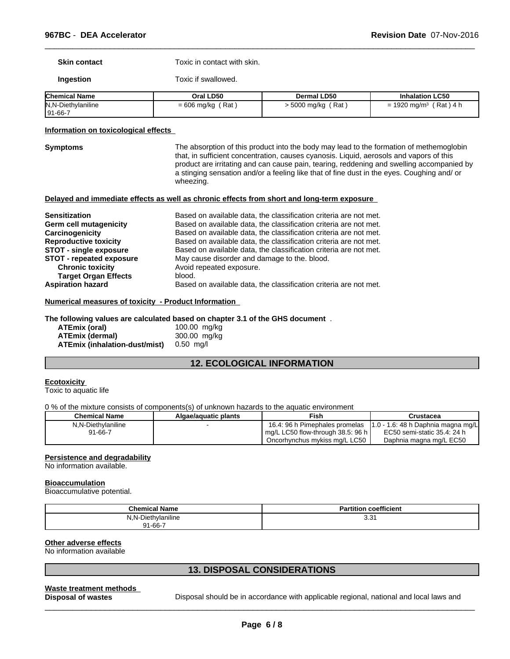**Skin contact** Toxic in contact with skin.

**Ingestion** Toxic if swallowed.

| <b>Chemical Name</b> | Oral LD50            | <b>Dermal LD50</b>  | <b>Inhalation LC50</b>                     |
|----------------------|----------------------|---------------------|--------------------------------------------|
| N, N-Diethylaniline  | Rat<br>$= 606$ mg/kg | Rat<br>. 5000 mg/kg | ، Rat '<br>1920 mg/m $3$<br>⊢4 h<br>-<br>- |
| $ 91 - 66 - 7$       |                      |                     |                                            |

#### **Information on toxicological effects**

**Symptoms** The absorption of this product into the body may lead to the formation of methemoglobin that, in sufficient concentration, causes cyanosis. Liquid, aerosols and vapors of this product are irritating and can cause pain, tearing, reddening and swelling accompanied by a stinging sensation and/or a feeling like that of fine dust in the eyes. Coughing and/ or wheezing.

 $\overline{\phantom{a}}$  ,  $\overline{\phantom{a}}$  ,  $\overline{\phantom{a}}$  ,  $\overline{\phantom{a}}$  ,  $\overline{\phantom{a}}$  ,  $\overline{\phantom{a}}$  ,  $\overline{\phantom{a}}$  ,  $\overline{\phantom{a}}$  ,  $\overline{\phantom{a}}$  ,  $\overline{\phantom{a}}$  ,  $\overline{\phantom{a}}$  ,  $\overline{\phantom{a}}$  ,  $\overline{\phantom{a}}$  ,  $\overline{\phantom{a}}$  ,  $\overline{\phantom{a}}$  ,  $\overline{\phantom{a}}$ 

#### **Delayed and immediate effects as well as chronic effects from short and long-term exposure**

| <b>Sensitization</b>          | Based on available data, the classification criteria are not met. |
|-------------------------------|-------------------------------------------------------------------|
| Germ cell mutagenicity        | Based on available data, the classification criteria are not met. |
| Carcinogenicity               | Based on available data, the classification criteria are not met. |
| <b>Reproductive toxicity</b>  | Based on available data, the classification criteria are not met. |
| <b>STOT - single exposure</b> | Based on available data, the classification criteria are not met. |
| STOT - repeated exposure      | May cause disorder and damage to the. blood.                      |
| <b>Chronic toxicity</b>       | Avoid repeated exposure.                                          |
| <b>Target Organ Effects</b>   | blood.                                                            |
| <b>Aspiration hazard</b>      | Based on available data, the classification criteria are not met. |

## **Numerical measures of toxicity - Product Information**

#### **The following values are calculated based on chapter 3.1 of the GHS document** .

| ATEmix (oral)                 | 100.00 mg/kg |
|-------------------------------|--------------|
| ATEmix (dermal)               | 300.00 mg/kg |
| ATEmix (inhalation-dust/mist) | 0.50 ma/l    |

## **12. ECOLOGICAL INFORMATION**

#### **Ecotoxicity**

Toxic to aquatic life

0 % of the mixture consists of components(s) of unknown hazards to the aquatic environment

| <b>Chemical Name</b> | Algae/aguatic plants | Fish                              | Crustacea                              |
|----------------------|----------------------|-----------------------------------|----------------------------------------|
| N.N-Diethylaniline   |                      | 16.4: 96 h Pimephales promelas    | $11.0 - 1.6$ : 48 h Daphnia magna mg/L |
| $91 - 66 - 7$        |                      | mg/L LC50 flow-through 38.5: 96 h | EC50 semi-static 35.4: 24 h            |
|                      |                      | Oncorhynchus mykiss mg/L LC50     | Daphnia magna mg/L EC50                |

## **Persistence and degradability**

No information available.

#### **Bioaccumulation**

Bioaccumulative potential.

| <b>Chemical Name</b>               | coefficient<br>artition<br>יי |
|------------------------------------|-------------------------------|
| Diethylaniline<br>- N-.<br>N<br>w. | ົ່<br>ا د.د                   |
| $91 - 66 - 7$                      |                               |

#### **Other adverse effects**

No information available

## **13. DISPOSAL CONSIDERATIONS**

## **Waste treatment methods**

**Disposal of wastes Disposal should be in accordance with applicable regional, national and local laws and <b>Disposal** should be in accordance with applicable regional, national and local laws and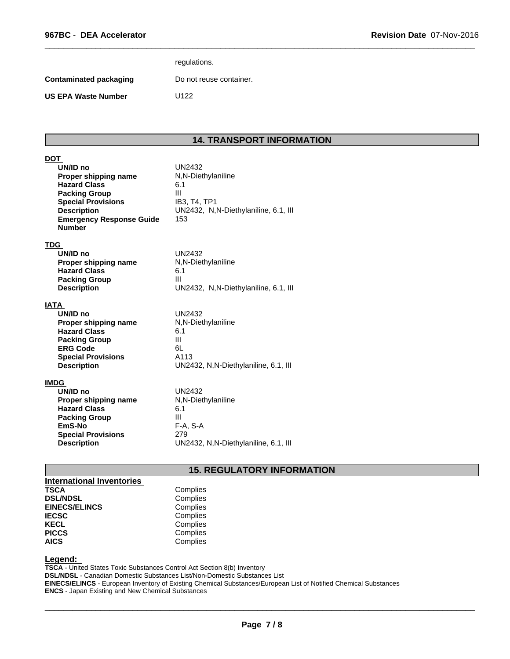|                        | regulations.            |
|------------------------|-------------------------|
| Contaminated packaging | Do not reuse container. |
| US EPA Waste Number    | U122                    |
|                        |                         |

## **14. TRANSPORT INFORMATION**

 $\overline{\phantom{a}}$  ,  $\overline{\phantom{a}}$  ,  $\overline{\phantom{a}}$  ,  $\overline{\phantom{a}}$  ,  $\overline{\phantom{a}}$  ,  $\overline{\phantom{a}}$  ,  $\overline{\phantom{a}}$  ,  $\overline{\phantom{a}}$  ,  $\overline{\phantom{a}}$  ,  $\overline{\phantom{a}}$  ,  $\overline{\phantom{a}}$  ,  $\overline{\phantom{a}}$  ,  $\overline{\phantom{a}}$  ,  $\overline{\phantom{a}}$  ,  $\overline{\phantom{a}}$  ,  $\overline{\phantom{a}}$ 

| DOT                                                                                                                                                                                    |                                                                                                           |
|----------------------------------------------------------------------------------------------------------------------------------------------------------------------------------------|-----------------------------------------------------------------------------------------------------------|
| UN/ID no<br>Proper shipping name<br><b>Hazard Class</b><br><b>Packing Group</b><br><b>Special Provisions</b><br><b>Description</b><br><b>Emergency Response Guide</b><br><b>Number</b> | UN2432<br>N,N-Diethylaniline<br>6.1<br>III<br>IB3, T4, TP1<br>UN2432, N.N-Diethylaniline, 6.1, III<br>153 |
| <u>TDG</u>                                                                                                                                                                             |                                                                                                           |
| UN/ID no                                                                                                                                                                               | UN2432                                                                                                    |
| Proper shipping name                                                                                                                                                                   | N,N-Diethylaniline                                                                                        |
| <b>Hazard Class</b>                                                                                                                                                                    | 6.1                                                                                                       |
| <b>Packing Group</b>                                                                                                                                                                   | Ш                                                                                                         |
| <b>Description</b>                                                                                                                                                                     | UN2432, N, N-Diethylaniline, 6.1, III                                                                     |
| <u>IATA</u>                                                                                                                                                                            |                                                                                                           |
| UN/ID no                                                                                                                                                                               | <b>UN2432</b>                                                                                             |
| Proper shipping name                                                                                                                                                                   | N,N-Diethylaniline                                                                                        |
| <b>Hazard Class</b>                                                                                                                                                                    | 6.1                                                                                                       |
| <b>Packing Group</b>                                                                                                                                                                   | Ш                                                                                                         |
| <b>ERG Code</b>                                                                                                                                                                        | 6L                                                                                                        |
| <b>Special Provisions</b>                                                                                                                                                              | A113                                                                                                      |
| <b>Description</b>                                                                                                                                                                     | UN2432, N,N-Diethylaniline, 6.1, III                                                                      |
| IMDG                                                                                                                                                                                   |                                                                                                           |
| UN/ID no                                                                                                                                                                               | <b>UN2432</b>                                                                                             |
| Proper shipping name                                                                                                                                                                   | N,N-Diethylaniline                                                                                        |
| <b>Hazard Class</b>                                                                                                                                                                    | 6.1                                                                                                       |
| <b>Packing Group</b>                                                                                                                                                                   | Ш                                                                                                         |
| EmS-No                                                                                                                                                                                 | F-A, S-A                                                                                                  |
| <b>Special Provisions</b>                                                                                                                                                              | 279                                                                                                       |

## **Description** UN2432, N,N-Diethylaniline, 6.1, III

## **15. REGULATORY INFORMATION**

| International Inventories |          |
|---------------------------|----------|
| <b>TSCA</b>               | Complies |
| <b>DSL/NDSL</b>           | Complies |
| <b>EINECS/ELINCS</b>      | Complies |
| <b>IECSC</b>              | Complies |
| <b>KECL</b>               | Complies |
| <b>PICCS</b>              | Complies |
| <b>AICS</b>               | Complies |

## **Legend:**

**TSCA** - United States Toxic Substances Control Act Section 8(b) Inventory **DSL/NDSL** - Canadian Domestic Substances List/Non-Domestic Substances List **EINECS/ELINCS** - European Inventory of Existing Chemical Substances/European List of Notified Chemical Substances **ENCS** - Japan Existing and New Chemical Substances